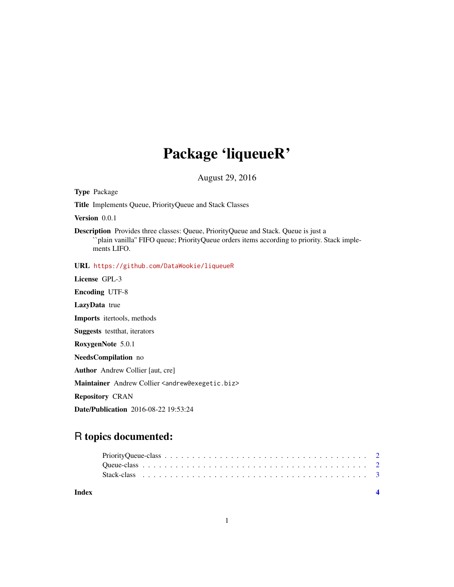## Package 'liqueueR'

August 29, 2016

Type Package

Title Implements Queue, PriorityQueue and Stack Classes

Version 0.0.1

Description Provides three classes: Queue, PriorityQueue and Stack. Queue is just a ``plain vanilla'' FIFO queue; PriorityQueue orders items according to priority. Stack implements LIFO.

URL <https://github.com/DataWookie/liqueueR>

License GPL-3 Encoding UTF-8 LazyData true

Imports itertools, methods

Suggests testthat, iterators

RoxygenNote 5.0.1

NeedsCompilation no

Author Andrew Collier [aut, cre]

Maintainer Andrew Collier <andrew@exegetic.biz>

Repository CRAN

Date/Publication 2016-08-22 19:53:24

### R topics documented:

**Index** [4](#page-3-0)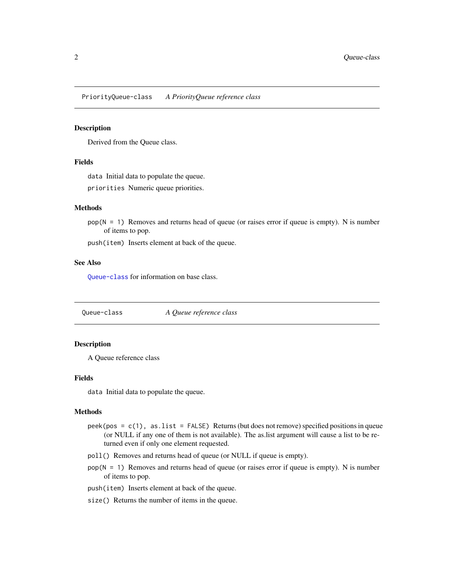<span id="page-1-0"></span>PriorityQueue-class *A PriorityQueue reference class*

#### Description

Derived from the Queue class.

#### Fields

data Initial data to populate the queue.

priorities Numeric queue priorities.

#### Methods

 $pop(N = 1)$  Removes and returns head of queue (or raises error if queue is empty). N is number of items to pop.

push(item) Inserts element at back of the queue.

#### See Also

[Queue-class](#page-1-1) for information on base class.

<span id="page-1-1"></span>Queue-class *A Queue reference class*

#### Description

A Queue reference class

#### Fields

data Initial data to populate the queue.

#### Methods

- peek(pos =  $c(1)$ , as. list = FALSE) Returns (but does not remove) specified positions in queue (or NULL if any one of them is not available). The as.list argument will cause a list to be returned even if only one element requested.
- poll() Removes and returns head of queue (or NULL if queue is empty).
- $pop(N = 1)$  Removes and returns head of queue (or raises error if queue is empty). N is number of items to pop.
- push(item) Inserts element at back of the queue.
- size() Returns the number of items in the queue.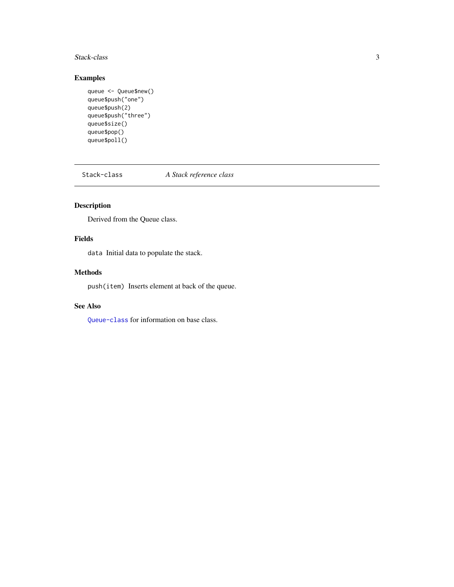#### <span id="page-2-0"></span>Stack-class 3

#### Examples

```
queue <- Queue$new()
queue$push("one")
queue$push(2)
queue$push("three")
queue$size()
queue$pop()
queue$poll()
```
Stack-class *A Stack reference class*

#### Description

Derived from the Queue class.

#### Fields

data Initial data to populate the stack.

#### Methods

push(item) Inserts element at back of the queue.

#### See Also

[Queue-class](#page-1-1) for information on base class.